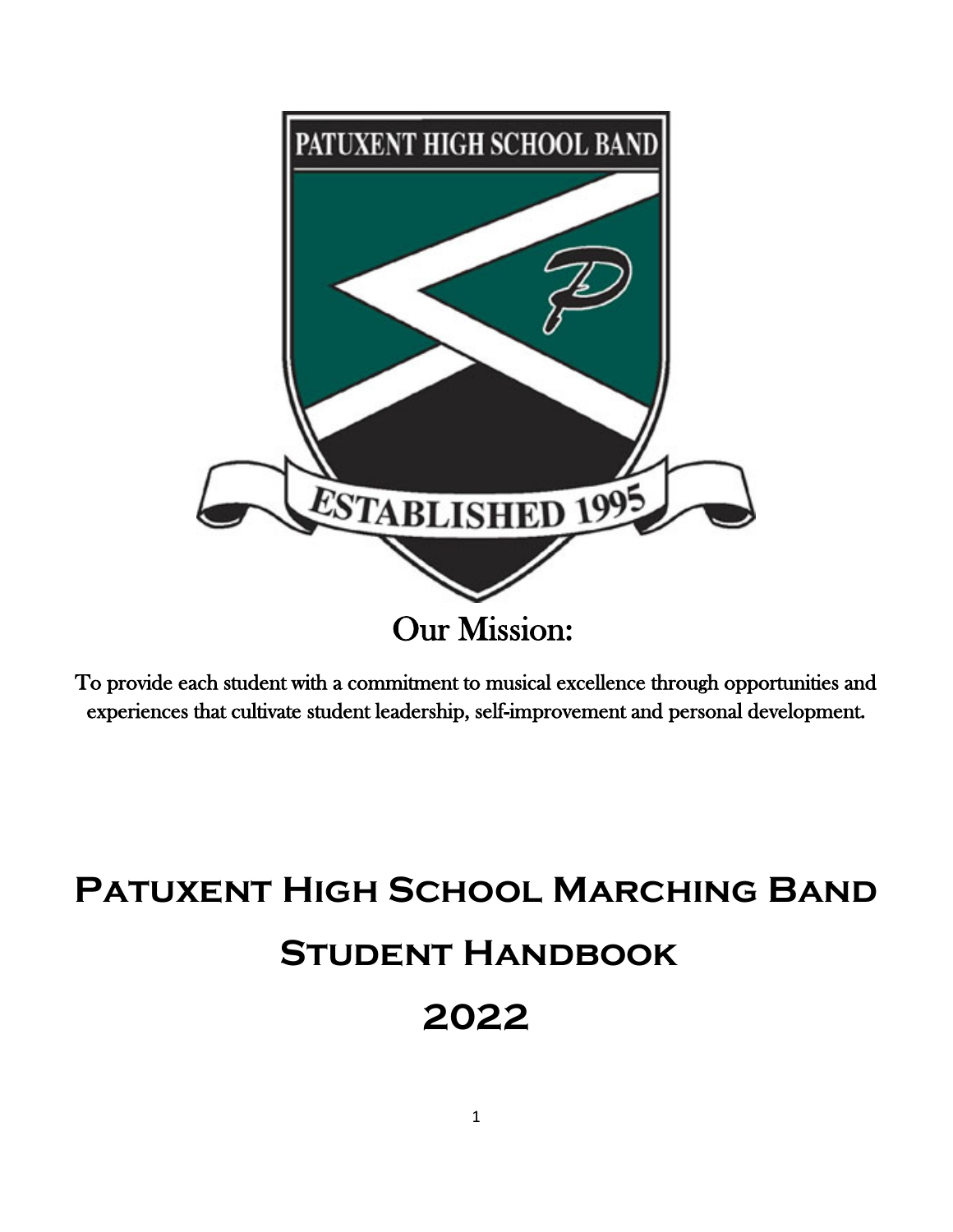

To provide each student with a commitment to musical excellence through opportunities and experiences that cultivate student leadership, self-improvement and personal development.

# **Patuxent High School Marching Band Student Handbook 2022**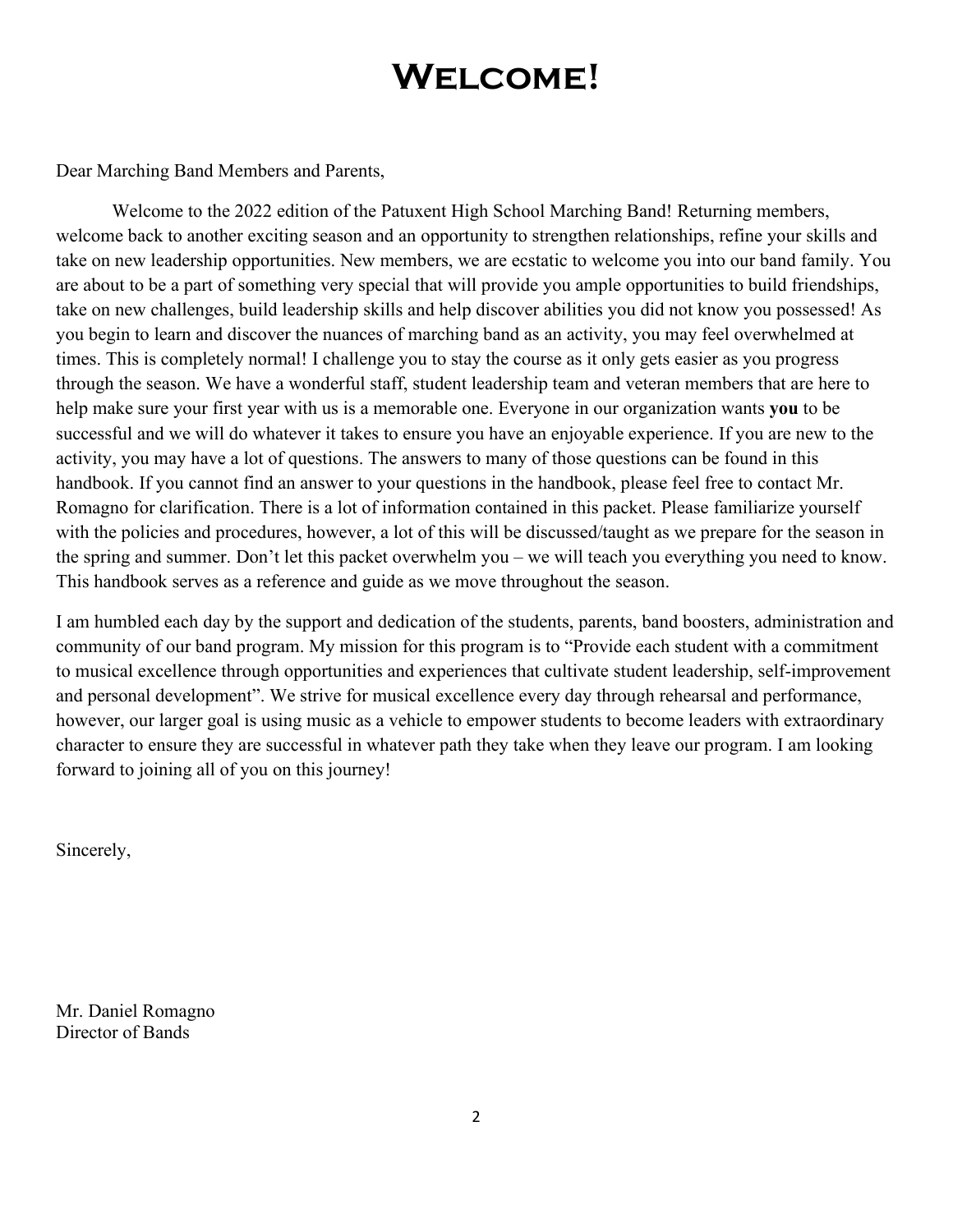# **Welcome!**

Dear Marching Band Members and Parents,

Welcome to the 2022 edition of the Patuxent High School Marching Band! Returning members, welcome back to another exciting season and an opportunity to strengthen relationships, refine your skills and take on new leadership opportunities. New members, we are ecstatic to welcome you into our band family. You are about to be a part of something very special that will provide you ample opportunities to build friendships, take on new challenges, build leadership skills and help discover abilities you did not know you possessed! As you begin to learn and discover the nuances of marching band as an activity, you may feel overwhelmed at times. This is completely normal! I challenge you to stay the course as it only gets easier as you progress through the season. We have a wonderful staff, student leadership team and veteran members that are here to help make sure your first year with us is a memorable one. Everyone in our organization wants **you** to be successful and we will do whatever it takes to ensure you have an enjoyable experience. If you are new to the activity, you may have a lot of questions. The answers to many of those questions can be found in this handbook. If you cannot find an answer to your questions in the handbook, please feel free to contact Mr. Romagno for clarification. There is a lot of information contained in this packet. Please familiarize yourself with the policies and procedures, however, a lot of this will be discussed/taught as we prepare for the season in the spring and summer. Don't let this packet overwhelm you – we will teach you everything you need to know. This handbook serves as a reference and guide as we move throughout the season.

I am humbled each day by the support and dedication of the students, parents, band boosters, administration and community of our band program. My mission for this program is to "Provide each student with a commitment to musical excellence through opportunities and experiences that cultivate student leadership, self-improvement and personal development". We strive for musical excellence every day through rehearsal and performance, however, our larger goal is using music as a vehicle to empower students to become leaders with extraordinary character to ensure they are successful in whatever path they take when they leave our program. I am looking forward to joining all of you on this journey!

Sincerely,

Mr. Daniel Romagno Director of Bands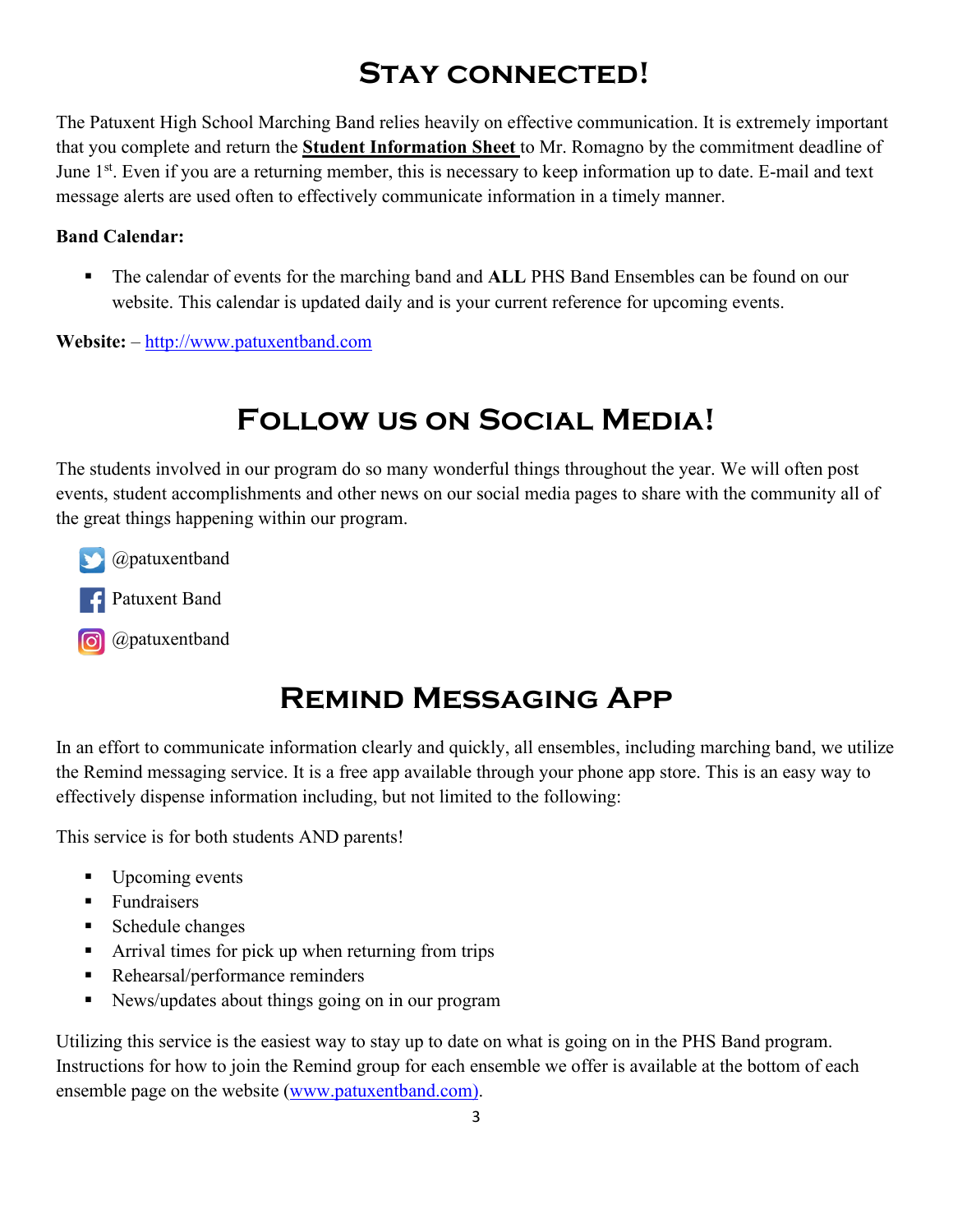# **Stay connected!**

The Patuxent High School Marching Band relies heavily on effective communication. It is extremely important that you complete and return the **Student Information Sheet** to Mr. Romagno by the commitment deadline of June 1<sup>st</sup>. Even if you are a returning member, this is necessary to keep information up to date. E-mail and text message alerts are used often to effectively communicate information in a timely manner.

#### **Band Calendar:**

 The calendar of events for the marching band and **ALL** PHS Band Ensembles can be found on our website. This calendar is updated daily and is your current reference for upcoming events.

**Website:** – [http://www.patuxentband.com](http://www.patuxentband.com/) 

# **Follow us on Social Media!**

The students involved in our program do so many wonderful things throughout the year. We will often post events, student accomplishments and other news on our social media pages to share with the community all of the great things happening within our program.

@patuxentband

Patuxent Band

**o** @patuxentband

### **Remind Messaging App**

In an effort to communicate information clearly and quickly, all ensembles, including marching band, we utilize the Remind messaging service. It is a free app available through your phone app store. This is an easy way to effectively dispense information including, but not limited to the following:

This service is for both students AND parents!

- Upcoming events
- **Fundraisers**
- Schedule changes
- Arrival times for pick up when returning from trips
- Rehearsal/performance reminders
- News/updates about things going on in our program

Utilizing this service is the easiest way to stay up to date on what is going on in the PHS Band program. Instructions for how to join the Remind group for each ensemble we offer is available at the bottom of each ensemble page on the website (www.patuxentband.com).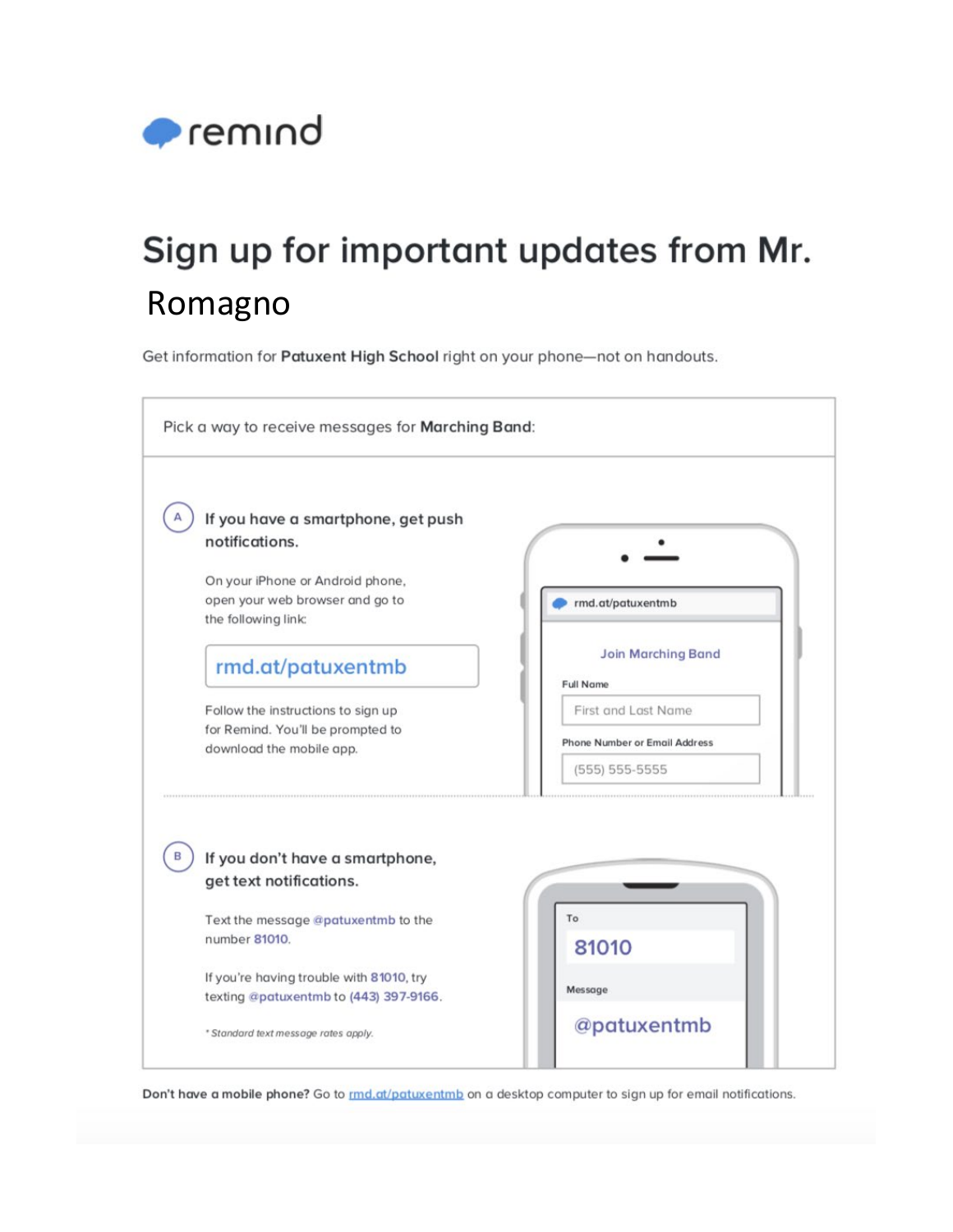

# Sign up for important updates from Mr. Romagno

Get information for Patuxent High School right on your phone-not on handouts.



Don't have a mobile phone? Go to *rmd.at/patuxentmb* on a desktop computer to sign up for email notifications.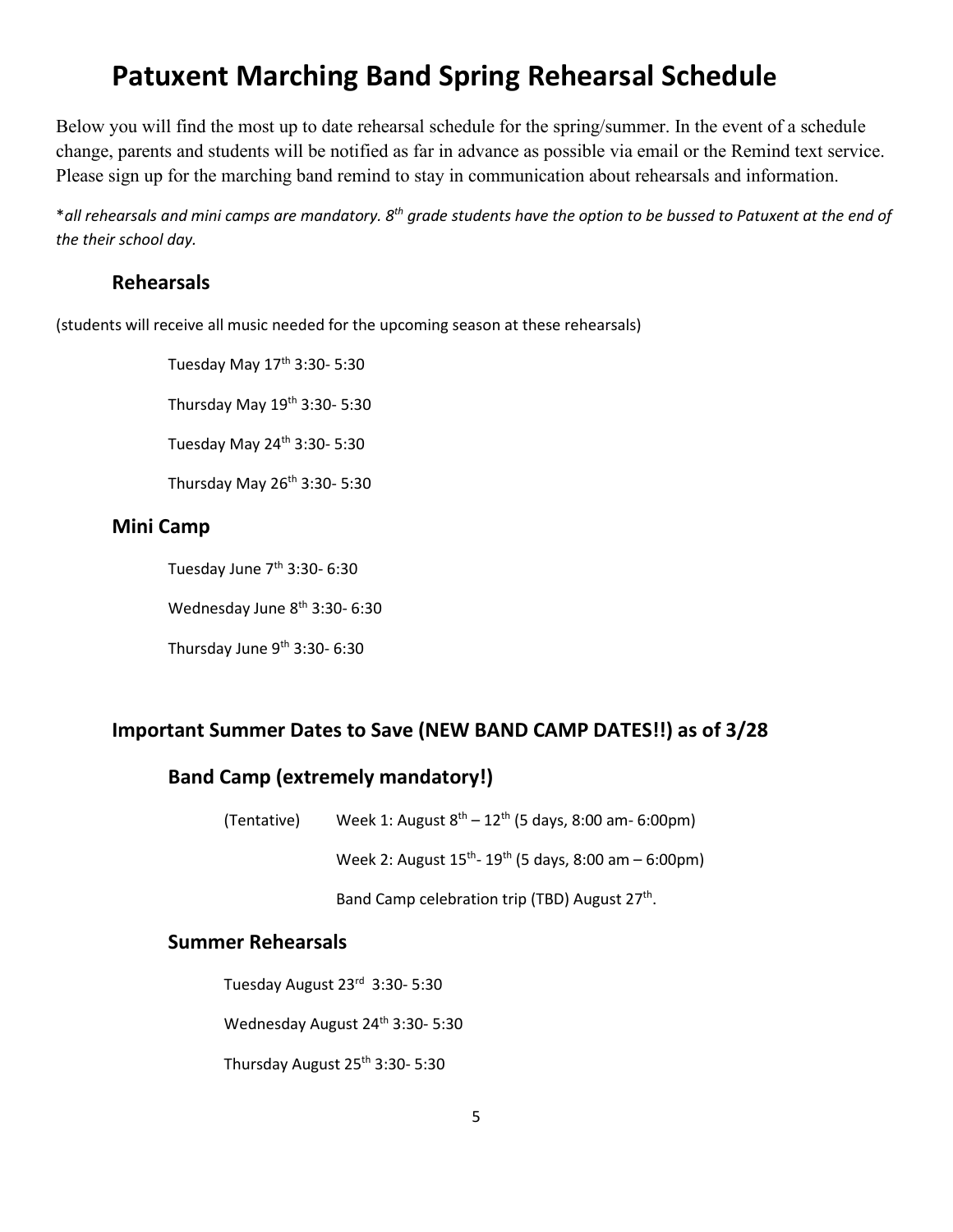### **Patuxent Marching Band Spring Rehearsal Schedule**

Below you will find the most up to date rehearsal schedule for the spring/summer. In the event of a schedule change, parents and students will be notified as far in advance as possible via email or the Remind text service. Please sign up for the marching band remind to stay in communication about rehearsals and information.

\**all rehearsals and mini camps are mandatory. 8th grade students have the option to be bussed to Patuxent at the end of the their school day.*

#### **Rehearsals**

(students will receive all music needed for the upcoming season at these rehearsals)

Tuesday May 17<sup>th</sup> 3:30- 5:30

Thursday May  $19<sup>th</sup>$  3:30- 5:30

Tuesday May 24th 3:30- 5:30

Thursday May 26th 3:30- 5:30

#### **Mini Camp**

Tuesday June  $7<sup>th</sup>$  3:30-6:30

Wednesday June 8<sup>th</sup> 3:30- 6:30

Thursday June 9<sup>th</sup> 3:30- 6:30

#### **Important Summer Dates to Save (NEW BAND CAMP DATES!!) as of 3/28**

#### **Band Camp (extremely mandatory!)**

(Tentative) Week 1: August  $8<sup>th</sup> - 12<sup>th</sup>$  (5 days, 8:00 am- 6:00pm)

Week 2: August  $15^{th}$ - 19<sup>th</sup> (5 days, 8:00 am – 6:00pm)

Band Camp celebration trip (TBD) August 27<sup>th</sup>.

#### **Summer Rehearsals**

Tuesday August 23rd 3:30- 5:30

Wednesday August 24<sup>th</sup> 3:30- 5:30

Thursday August 25th 3:30- 5:30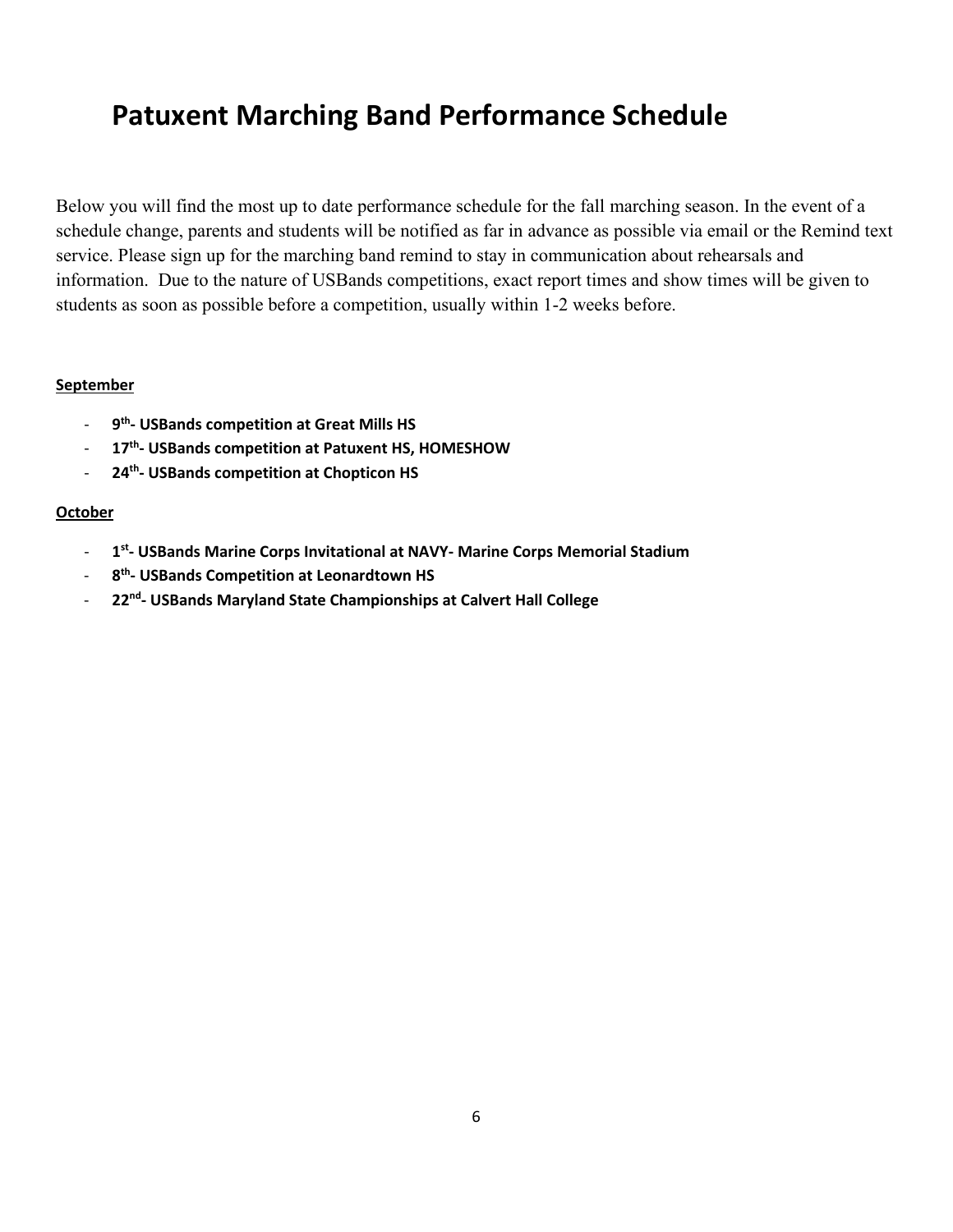### **Patuxent Marching Band Performance Schedule**

Below you will find the most up to date performance schedule for the fall marching season. In the event of a schedule change, parents and students will be notified as far in advance as possible via email or the Remind text service. Please sign up for the marching band remind to stay in communication about rehearsals and information. Due to the nature of USBands competitions, exact report times and show times will be given to students as soon as possible before a competition, usually within 1-2 weeks before.

#### **September**

- 9<sup>th</sup>- USBands competition at Great Mills HS
- 17<sup>th</sup>- USBands competition at Patuxent HS, HOMESHOW
- 24<sup>th</sup>- USBands competition at Chopticon HS

#### **October**

- **1st- USBands Marine Corps Invitational at NAVY- Marine Corps Memorial Stadium**
- **8th- USBands Competition at Leonardtown HS**
- **22nd- USBands Maryland State Championships at Calvert Hall College**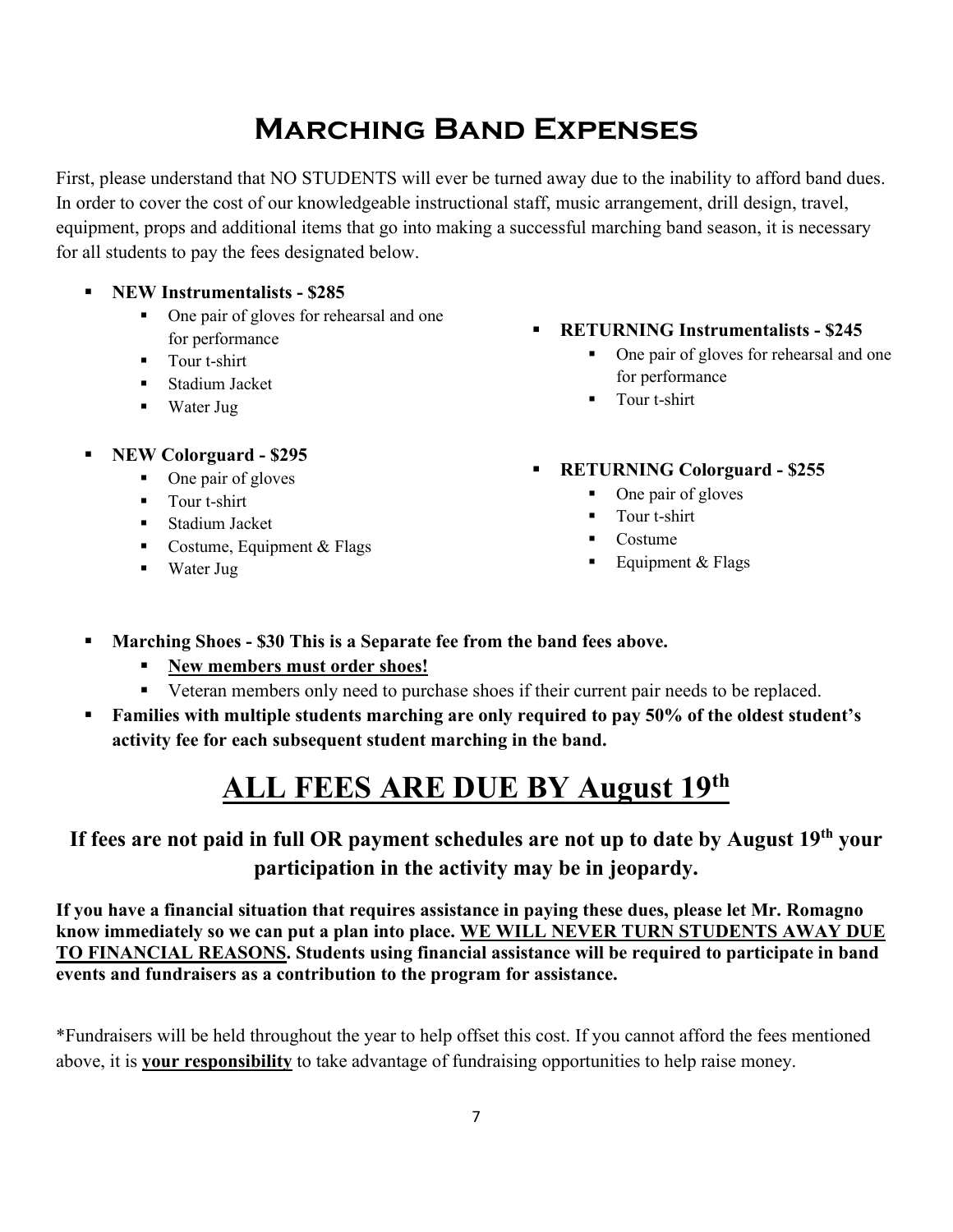### **Marching Band Expenses**

First, please understand that NO STUDENTS will ever be turned away due to the inability to afford band dues. In order to cover the cost of our knowledgeable instructional staff, music arrangement, drill design, travel, equipment, props and additional items that go into making a successful marching band season, it is necessary for all students to pay the fees designated below.

- **NEW Instrumentalists \$285**
	- One pair of gloves for rehearsal and one for performance
	- **Tour t-shirt**
	- **Stadium Jacket**
	- Water Jug
- **NEW Colorguard \$295**
	- One pair of gloves
	- **Tour t-shirt**
	- **Stadium Jacket**
	- Costume, Equipment  $&$  Flags
	- Water Jug
- **RETURNING Instrumentalists \$245**
	- One pair of gloves for rehearsal and one for performance
	- **Tour t-shirt**
- **RETURNING Colorguard \$255** 
	- One pair of gloves
	- **Tour t-shirt**
	- Costume
	- Equipment  $&$  Flags
- **Marching Shoes \$30 This is a Separate fee from the band fees above.** 
	- **New members must order shoes!**
	- Veteran members only need to purchase shoes if their current pair needs to be replaced.
- **Families with multiple students marching are only required to pay 50% of the oldest student's activity fee for each subsequent student marching in the band.**

### **ALL FEES ARE DUE BY August 19th**

### **If fees are not paid in full OR payment schedules are not up to date by August 19th your participation in the activity may be in jeopardy.**

**If you have a financial situation that requires assistance in paying these dues, please let Mr. Romagno know immediately so we can put a plan into place. WE WILL NEVER TURN STUDENTS AWAY DUE TO FINANCIAL REASONS. Students using financial assistance will be required to participate in band events and fundraisers as a contribution to the program for assistance.** 

\*Fundraisers will be held throughout the year to help offset this cost. If you cannot afford the fees mentioned above, it is **your responsibility** to take advantage of fundraising opportunities to help raise money.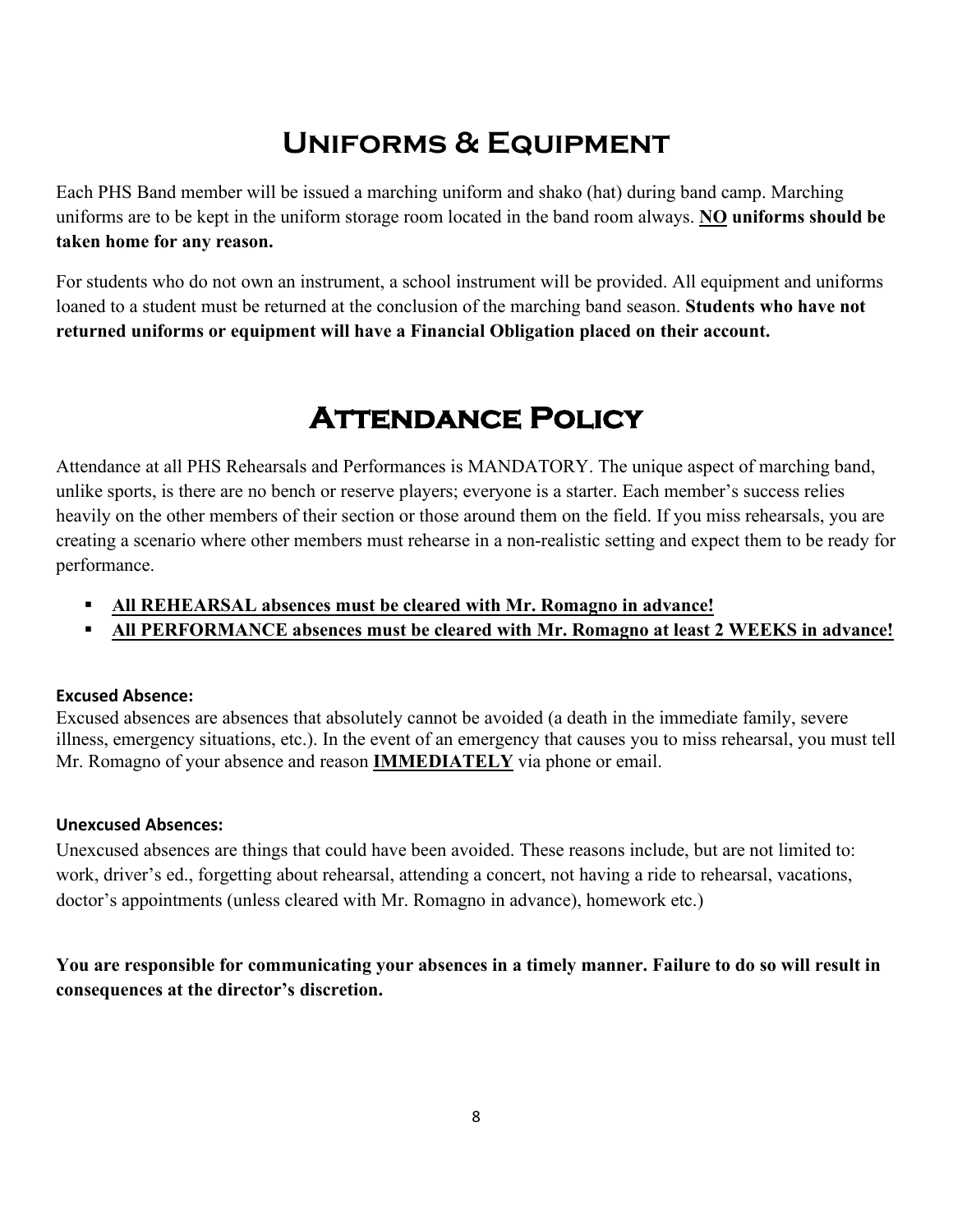### **Uniforms & Equipment**

Each PHS Band member will be issued a marching uniform and shako (hat) during band camp. Marching uniforms are to be kept in the uniform storage room located in the band room always. **NO uniforms should be taken home for any reason.**

For students who do not own an instrument, a school instrument will be provided. All equipment and uniforms loaned to a student must be returned at the conclusion of the marching band season. **Students who have not returned uniforms or equipment will have a Financial Obligation placed on their account.** 

### **Attendance Policy**

Attendance at all PHS Rehearsals and Performances is MANDATORY. The unique aspect of marching band, unlike sports, is there are no bench or reserve players; everyone is a starter. Each member's success relies heavily on the other members of their section or those around them on the field. If you miss rehearsals, you are creating a scenario where other members must rehearse in a non-realistic setting and expect them to be ready for performance.

- **All REHEARSAL absences must be cleared with Mr. Romagno in advance!**
- **All PERFORMANCE absences must be cleared with Mr. Romagno at least 2 WEEKS in advance!**

#### **Excused Absence:**

Excused absences are absences that absolutely cannot be avoided (a death in the immediate family, severe illness, emergency situations, etc.). In the event of an emergency that causes you to miss rehearsal, you must tell Mr. Romagno of your absence and reason **IMMEDIATELY** via phone or email.

#### **Unexcused Absences:**

Unexcused absences are things that could have been avoided. These reasons include, but are not limited to: work, driver's ed., forgetting about rehearsal, attending a concert, not having a ride to rehearsal, vacations, doctor's appointments (unless cleared with Mr. Romagno in advance), homework etc.)

**You are responsible for communicating your absences in a timely manner. Failure to do so will result in consequences at the director's discretion.**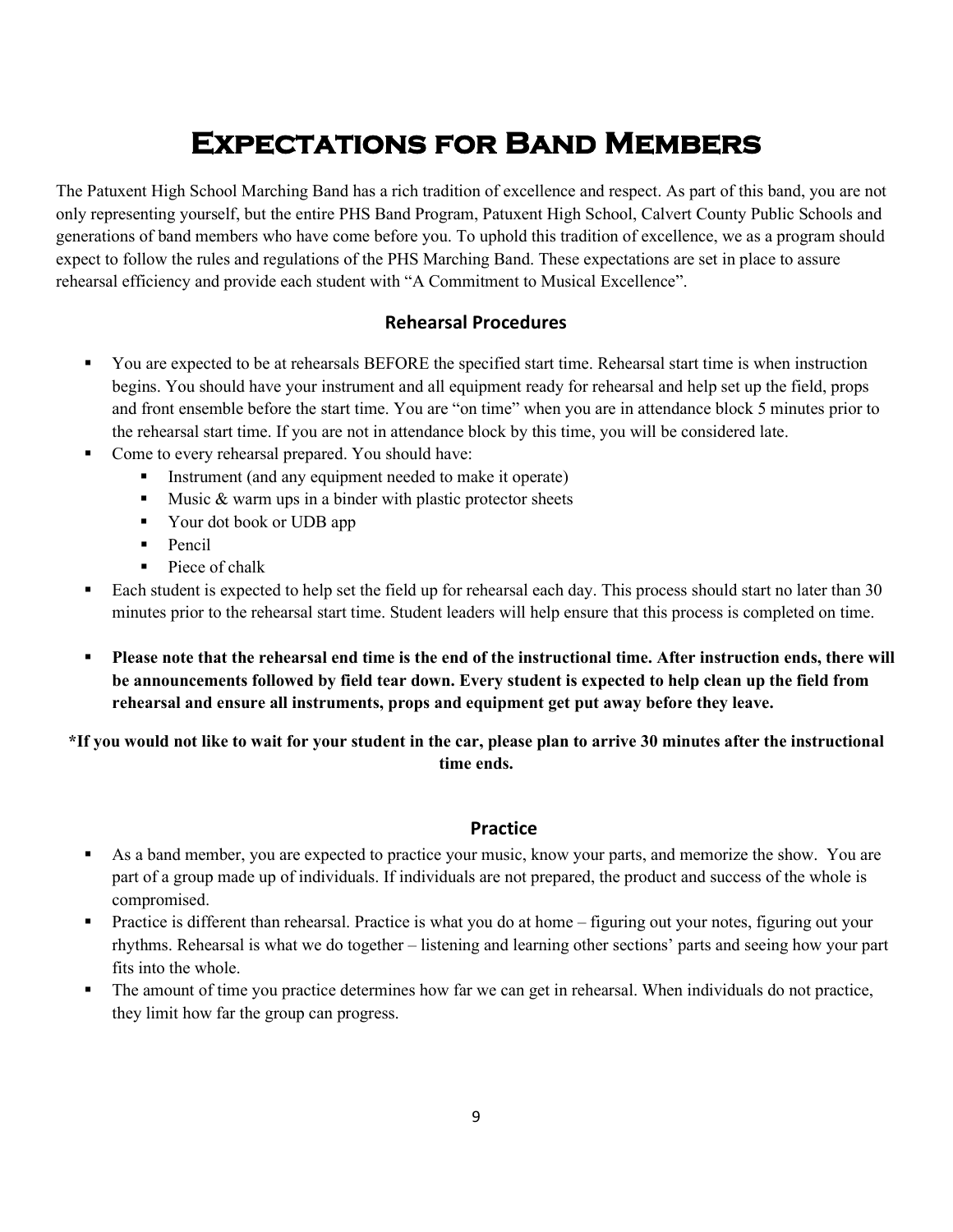### **Expectations for Band Members**

The Patuxent High School Marching Band has a rich tradition of excellence and respect. As part of this band, you are not only representing yourself, but the entire PHS Band Program, Patuxent High School, Calvert County Public Schools and generations of band members who have come before you. To uphold this tradition of excellence, we as a program should expect to follow the rules and regulations of the PHS Marching Band. These expectations are set in place to assure rehearsal efficiency and provide each student with "A Commitment to Musical Excellence".

#### **Rehearsal Procedures**

- You are expected to be at rehearsals BEFORE the specified start time. Rehearsal start time is when instruction begins. You should have your instrument and all equipment ready for rehearsal and help set up the field, props and front ensemble before the start time. You are "on time" when you are in attendance block 5 minutes prior to the rehearsal start time. If you are not in attendance block by this time, you will be considered late.
- **Come to every rehearsal prepared. You should have:** 
	- Instrument (and any equipment needed to make it operate)
	- Music  $&$  warm ups in a binder with plastic protector sheets
	- Vour dot book or UDB app
	- $\blacksquare$  Pencil
	- Piece of chalk
- Each student is expected to help set the field up for rehearsal each day. This process should start no later than 30 minutes prior to the rehearsal start time. Student leaders will help ensure that this process is completed on time.
- **Please note that the rehearsal end time is the end of the instructional time. After instruction ends, there will be announcements followed by field tear down. Every student is expected to help clean up the field from rehearsal and ensure all instruments, props and equipment get put away before they leave.**

#### **\*If you would not like to wait for your student in the car, please plan to arrive 30 minutes after the instructional time ends.**

#### **Practice**

- As a band member, you are expected to practice your music, know your parts, and memorize the show. You are part of a group made up of individuals. If individuals are not prepared, the product and success of the whole is compromised.
- Practice is different than rehearsal. Practice is what you do at home figuring out your notes, figuring out your rhythms. Rehearsal is what we do together – listening and learning other sections' parts and seeing how your part fits into the whole.
- The amount of time you practice determines how far we can get in rehearsal. When individuals do not practice, they limit how far the group can progress.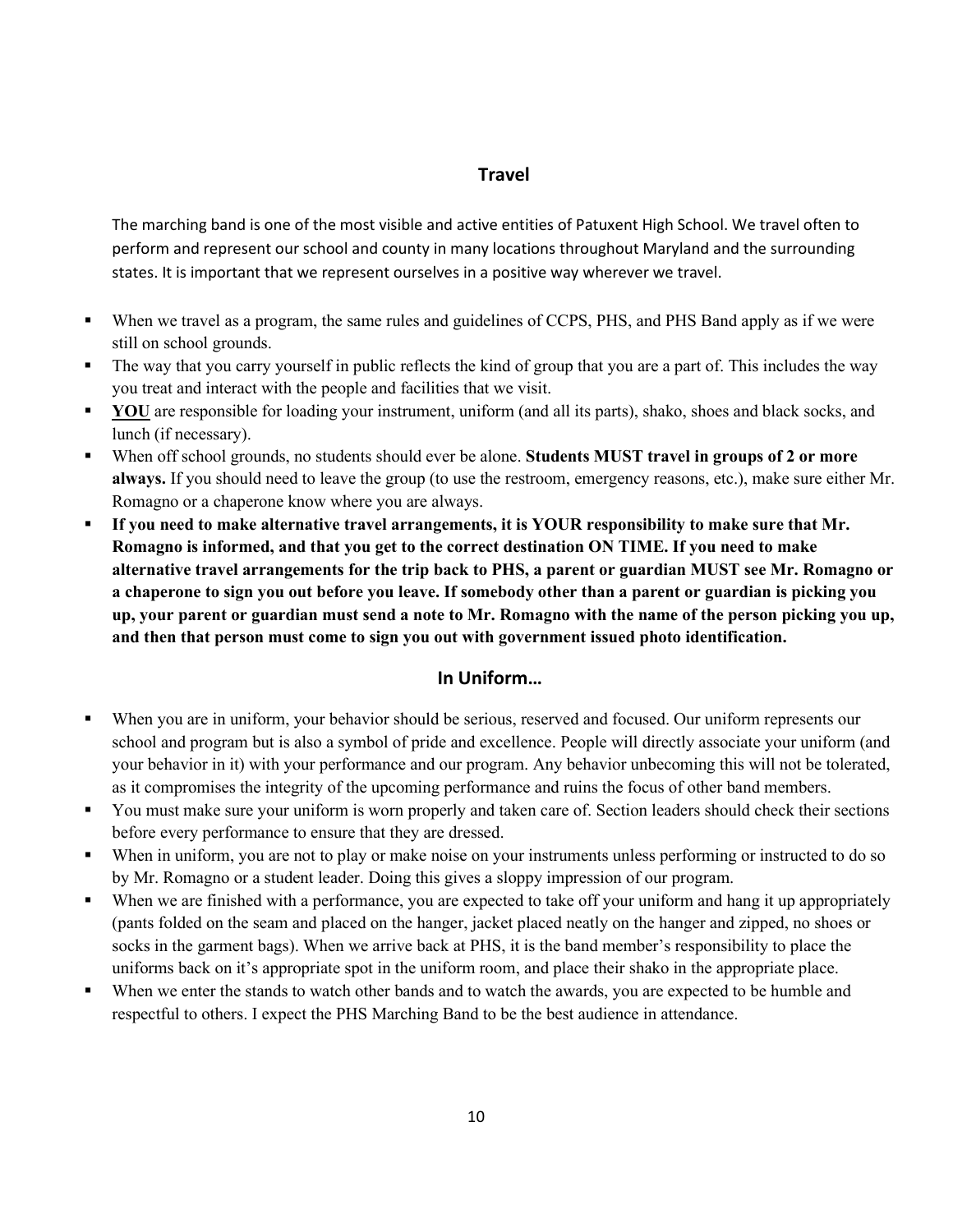#### **Travel**

The marching band is one of the most visible and active entities of Patuxent High School. We travel often to perform and represent our school and county in many locations throughout Maryland and the surrounding states. It is important that we represent ourselves in a positive way wherever we travel.

- When we travel as a program, the same rules and guidelines of CCPS, PHS, and PHS Band apply as if we were still on school grounds.
- The way that you carry yourself in public reflects the kind of group that you are a part of. This includes the way you treat and interact with the people and facilities that we visit.
- **YOU** are responsible for loading your instrument, uniform (and all its parts), shako, shoes and black socks, and lunch (if necessary).
- When off school grounds, no students should ever be alone. **Students MUST travel in groups of 2 or more always.** If you should need to leave the group (to use the restroom, emergency reasons, etc.), make sure either Mr. Romagno or a chaperone know where you are always.
- **If you need to make alternative travel arrangements, it is YOUR responsibility to make sure that Mr. Romagno is informed, and that you get to the correct destination ON TIME. If you need to make alternative travel arrangements for the trip back to PHS, a parent or guardian MUST see Mr. Romagno or a chaperone to sign you out before you leave. If somebody other than a parent or guardian is picking you up, your parent or guardian must send a note to Mr. Romagno with the name of the person picking you up, and then that person must come to sign you out with government issued photo identification.**

#### **In Uniform…**

- When you are in uniform, your behavior should be serious, reserved and focused. Our uniform represents our school and program but is also a symbol of pride and excellence. People will directly associate your uniform (and your behavior in it) with your performance and our program. Any behavior unbecoming this will not be tolerated, as it compromises the integrity of the upcoming performance and ruins the focus of other band members.
- You must make sure your uniform is worn properly and taken care of. Section leaders should check their sections before every performance to ensure that they are dressed.
- When in uniform, you are not to play or make noise on your instruments unless performing or instructed to do so by Mr. Romagno or a student leader. Doing this gives a sloppy impression of our program.
- When we are finished with a performance, you are expected to take off your uniform and hang it up appropriately (pants folded on the seam and placed on the hanger, jacket placed neatly on the hanger and zipped, no shoes or socks in the garment bags). When we arrive back at PHS, it is the band member's responsibility to place the uniforms back on it's appropriate spot in the uniform room, and place their shako in the appropriate place.
- When we enter the stands to watch other bands and to watch the awards, you are expected to be humble and respectful to others. I expect the PHS Marching Band to be the best audience in attendance.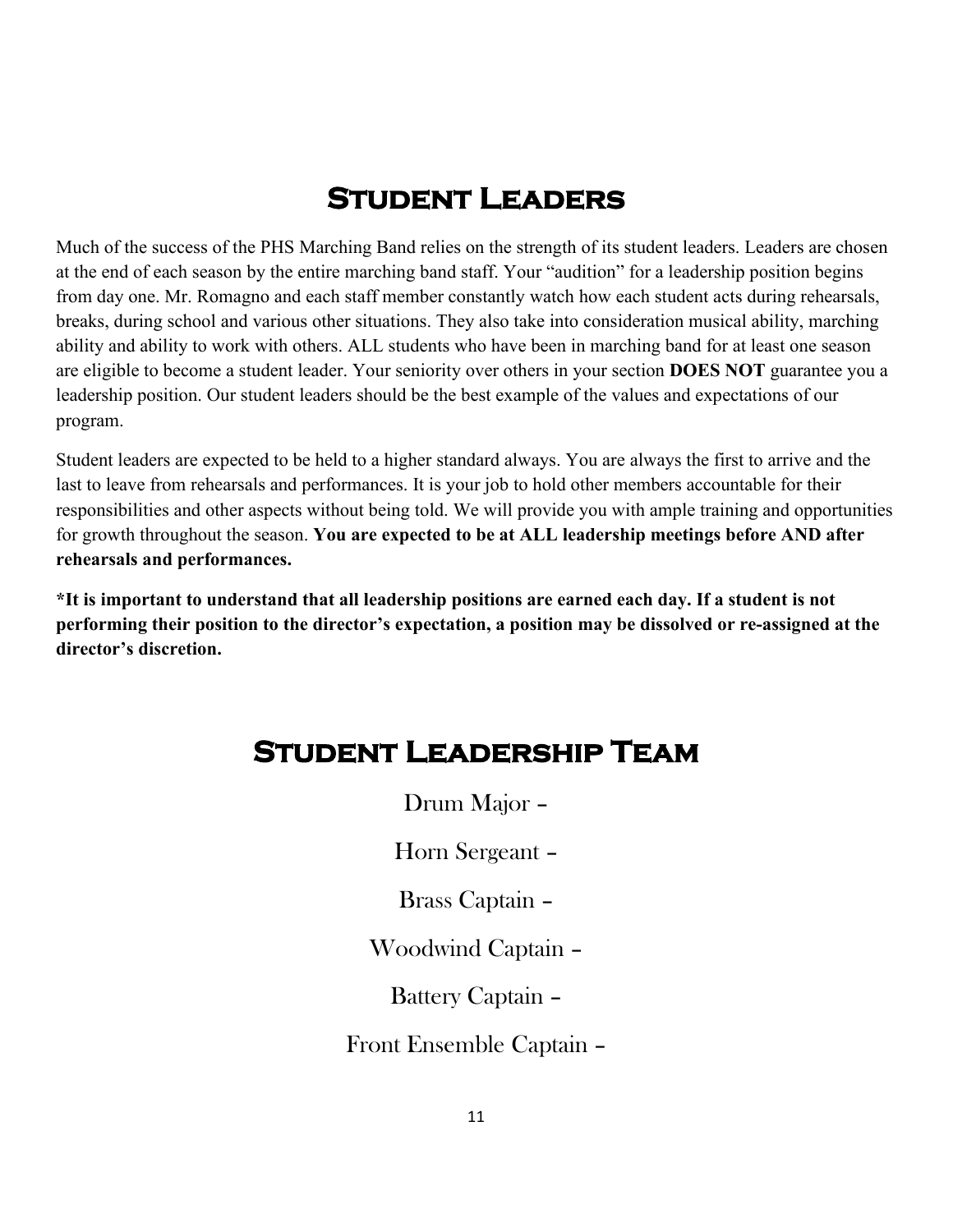### **Student Leaders**

Much of the success of the PHS Marching Band relies on the strength of its student leaders. Leaders are chosen at the end of each season by the entire marching band staff. Your "audition" for a leadership position begins from day one. Mr. Romagno and each staff member constantly watch how each student acts during rehearsals, breaks, during school and various other situations. They also take into consideration musical ability, marching ability and ability to work with others. ALL students who have been in marching band for at least one season are eligible to become a student leader. Your seniority over others in your section **DOES NOT** guarantee you a leadership position. Our student leaders should be the best example of the values and expectations of our program.

Student leaders are expected to be held to a higher standard always. You are always the first to arrive and the last to leave from rehearsals and performances. It is your job to hold other members accountable for their responsibilities and other aspects without being told. We will provide you with ample training and opportunities for growth throughout the season. **You are expected to be at ALL leadership meetings before AND after rehearsals and performances.** 

**\*It is important to understand that all leadership positions are earned each day. If a student is not performing their position to the director's expectation, a position may be dissolved or re-assigned at the director's discretion.** 

### **Student Leadership Team**

Drum Major –

Horn Sergeant –

Brass Captain –

Woodwind Captain –

Battery Captain –

Front Ensemble Captain –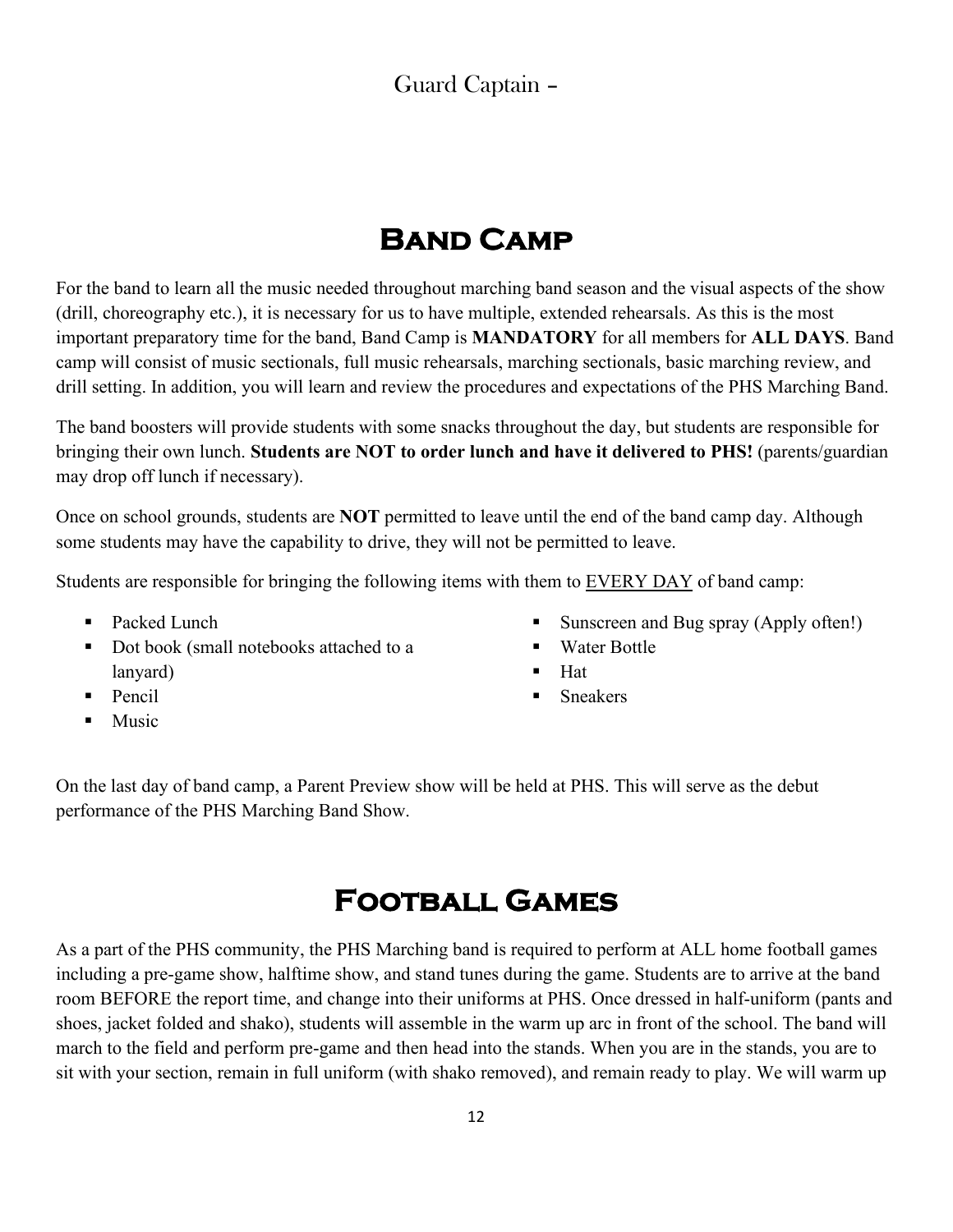### Guard Captain –

### **Band Camp**

For the band to learn all the music needed throughout marching band season and the visual aspects of the show (drill, choreography etc.), it is necessary for us to have multiple, extended rehearsals. As this is the most important preparatory time for the band, Band Camp is **MANDATORY** for all members for **ALL DAYS**. Band camp will consist of music sectionals, full music rehearsals, marching sectionals, basic marching review, and drill setting. In addition, you will learn and review the procedures and expectations of the PHS Marching Band.

The band boosters will provide students with some snacks throughout the day, but students are responsible for bringing their own lunch. **Students are NOT to order lunch and have it delivered to PHS!** (parents/guardian may drop off lunch if necessary).

Once on school grounds, students are **NOT** permitted to leave until the end of the band camp day. Although some students may have the capability to drive, they will not be permitted to leave.

Students are responsible for bringing the following items with them to EVERY DAY of band camp:

- Packed Lunch
- Dot book (small notebooks attached to a lanyard)
- $\blacksquare$  Pencil
- Music
- Sunscreen and Bug spray (Apply often!)
- Water Bottle
- $\blacksquare$  Hat
- **Sneakers**

On the last day of band camp, a Parent Preview show will be held at PHS. This will serve as the debut performance of the PHS Marching Band Show.

### **Football Games**

As a part of the PHS community, the PHS Marching band is required to perform at ALL home football games including a pre-game show, halftime show, and stand tunes during the game. Students are to arrive at the band room BEFORE the report time, and change into their uniforms at PHS. Once dressed in half-uniform (pants and shoes, jacket folded and shako), students will assemble in the warm up arc in front of the school. The band will march to the field and perform pre-game and then head into the stands. When you are in the stands, you are to sit with your section, remain in full uniform (with shako removed), and remain ready to play. We will warm up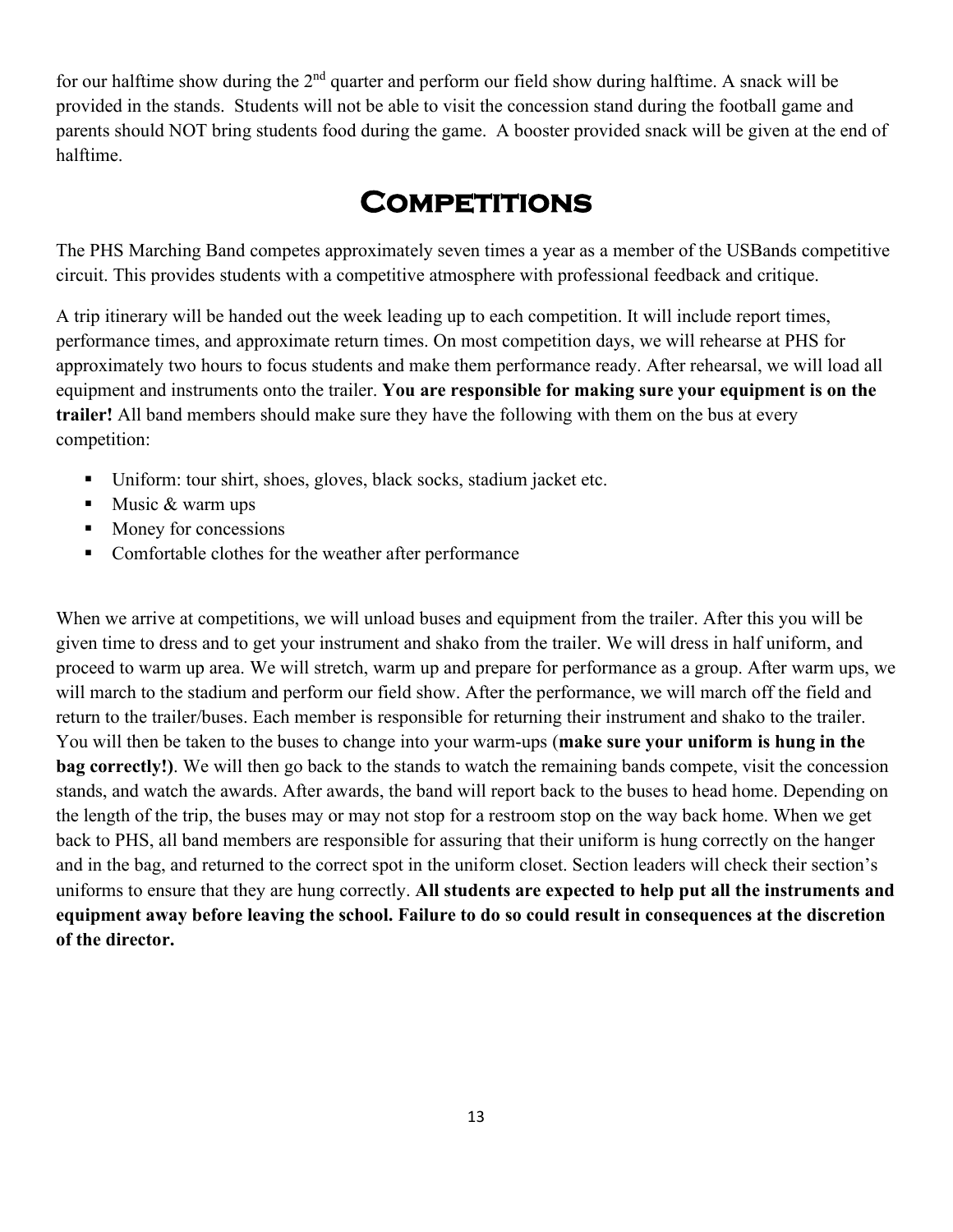for our halftime show during the  $2<sup>nd</sup>$  quarter and perform our field show during halftime. A snack will be provided in the stands. Students will not be able to visit the concession stand during the football game and parents should NOT bring students food during the game. A booster provided snack will be given at the end of halftime.

### **Competitions**

The PHS Marching Band competes approximately seven times a year as a member of the USBands competitive circuit. This provides students with a competitive atmosphere with professional feedback and critique.

A trip itinerary will be handed out the week leading up to each competition. It will include report times, performance times, and approximate return times. On most competition days, we will rehearse at PHS for approximately two hours to focus students and make them performance ready. After rehearsal, we will load all equipment and instruments onto the trailer. **You are responsible for making sure your equipment is on the trailer!** All band members should make sure they have the following with them on the bus at every competition:

- Uniform: tour shirt, shoes, gloves, black socks, stadium jacket etc.
- $\blacksquare$  Music & warm ups
- Money for concessions
- Comfortable clothes for the weather after performance

When we arrive at competitions, we will unload buses and equipment from the trailer. After this you will be given time to dress and to get your instrument and shako from the trailer. We will dress in half uniform, and proceed to warm up area. We will stretch, warm up and prepare for performance as a group. After warm ups, we will march to the stadium and perform our field show. After the performance, we will march off the field and return to the trailer/buses. Each member is responsible for returning their instrument and shako to the trailer. You will then be taken to the buses to change into your warm-ups (**make sure your uniform is hung in the bag correctly!**). We will then go back to the stands to watch the remaining bands compete, visit the concession stands, and watch the awards. After awards, the band will report back to the buses to head home. Depending on the length of the trip, the buses may or may not stop for a restroom stop on the way back home. When we get back to PHS, all band members are responsible for assuring that their uniform is hung correctly on the hanger and in the bag, and returned to the correct spot in the uniform closet. Section leaders will check their section's uniforms to ensure that they are hung correctly. **All students are expected to help put all the instruments and equipment away before leaving the school. Failure to do so could result in consequences at the discretion of the director.**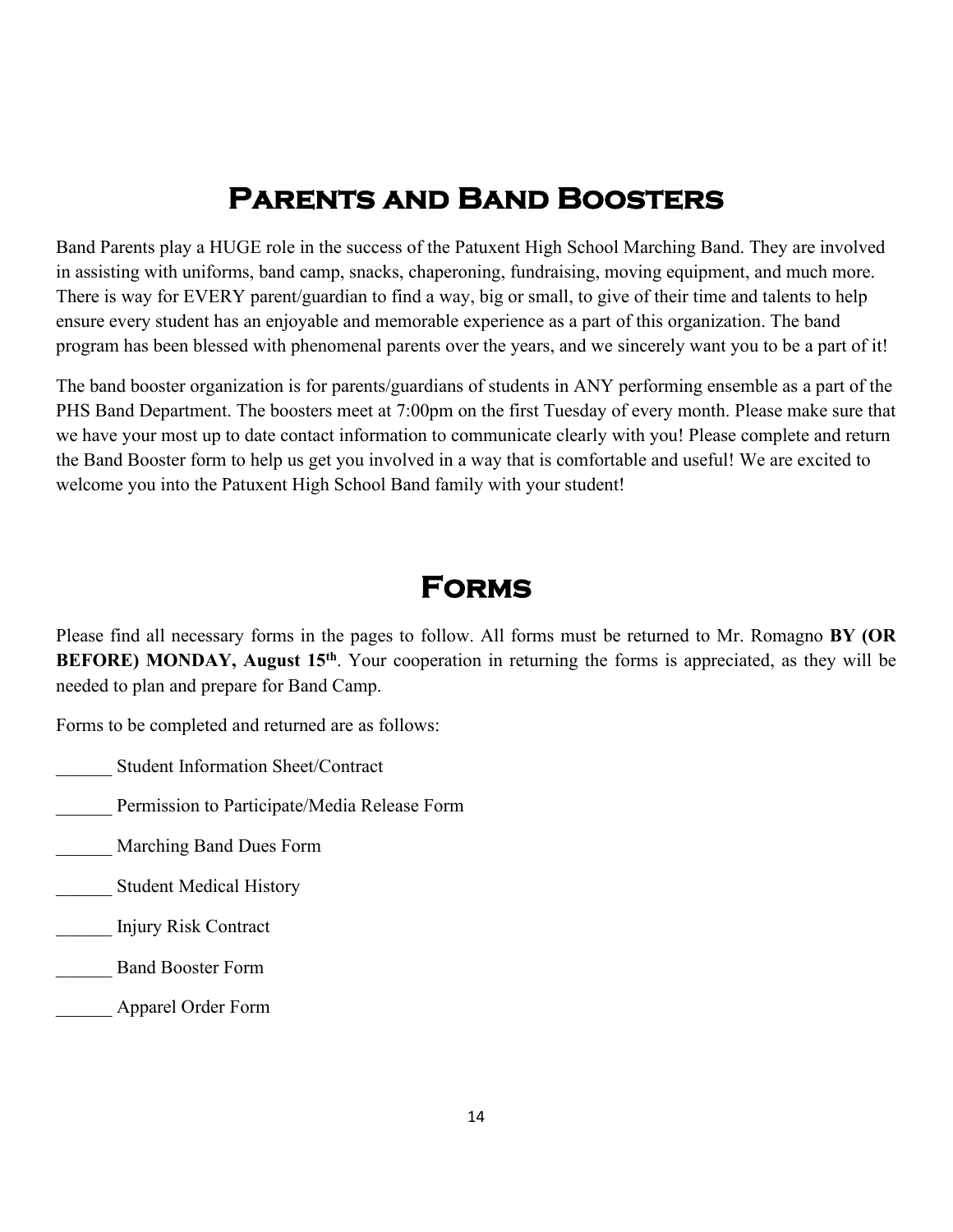### **Parents and Band Boosters**

Band Parents play a HUGE role in the success of the Patuxent High School Marching Band. They are involved in assisting with uniforms, band camp, snacks, chaperoning, fundraising, moving equipment, and much more. There is way for EVERY parent/guardian to find a way, big or small, to give of their time and talents to help ensure every student has an enjoyable and memorable experience as a part of this organization. The band program has been blessed with phenomenal parents over the years, and we sincerely want you to be a part of it!

The band booster organization is for parents/guardians of students in ANY performing ensemble as a part of the PHS Band Department. The boosters meet at 7:00pm on the first Tuesday of every month. Please make sure that we have your most up to date contact information to communicate clearly with you! Please complete and return the Band Booster form to help us get you involved in a way that is comfortable and useful! We are excited to welcome you into the Patuxent High School Band family with your student!

### **Forms**

Please find all necessary forms in the pages to follow. All forms must be returned to Mr. Romagno **BY (OR BEFORE) MONDAY, August 15<sup>th</sup>**. Your cooperation in returning the forms is appreciated, as they will be needed to plan and prepare for Band Camp.

Forms to be completed and returned are as follows:

- \_\_\_\_\_\_ Student Information Sheet/Contract
- Permission to Participate/Media Release Form
- \_\_\_\_\_\_ Marching Band Dues Form
- \_\_\_\_\_\_ Student Medical History
- \_\_\_\_\_\_ Injury Risk Contract
- \_\_\_\_\_\_ Band Booster Form
- \_\_\_\_\_\_ Apparel Order Form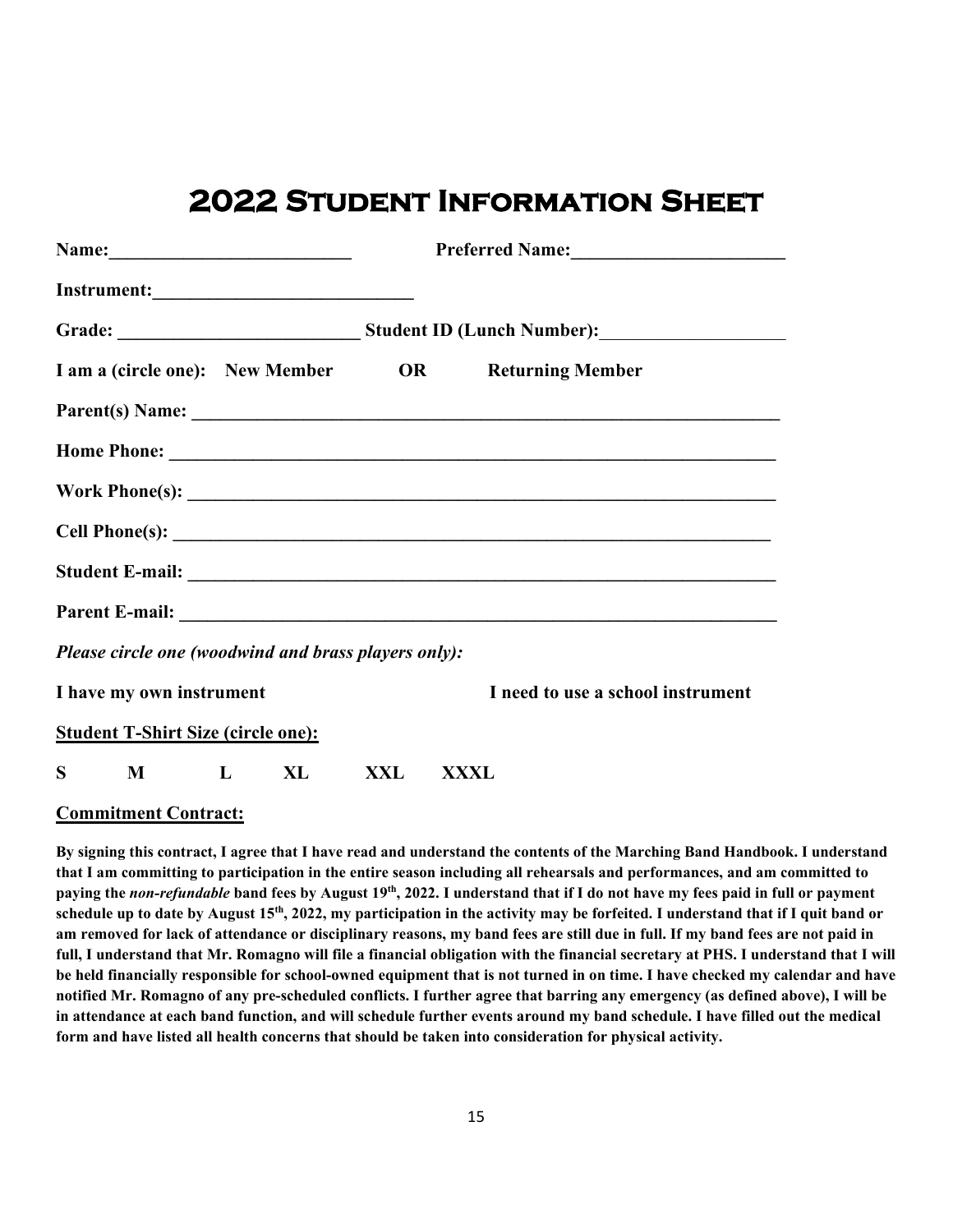### **2022 Student Information Sheet**

|   | Name: 2008. 2010. 2010. 2010. 2010. 2010. 2010. 2010. 2010. 2011. 2012. 2012. 2013. 2014. 2016. 2016. 2016. 20 |        |     |                                                     |
|---|----------------------------------------------------------------------------------------------------------------|--------|-----|-----------------------------------------------------|
|   |                                                                                                                |        |     |                                                     |
|   |                                                                                                                |        |     |                                                     |
|   |                                                                                                                |        |     | I am a (circle one): New Member OR Returning Member |
|   |                                                                                                                |        |     |                                                     |
|   |                                                                                                                |        |     |                                                     |
|   |                                                                                                                |        |     |                                                     |
|   |                                                                                                                |        |     |                                                     |
|   |                                                                                                                |        |     |                                                     |
|   |                                                                                                                |        |     |                                                     |
|   | Please circle one (woodwind and brass players only):                                                           |        |     |                                                     |
|   | I have my own instrument                                                                                       |        |     | I need to use a school instrument                   |
|   | <b>Student T-Shirt Size (circle one):</b>                                                                      |        |     |                                                     |
| S |                                                                                                                | M L XL | XXL | XXXL                                                |

#### **Commitment Contract:**

**By signing this contract, I agree that I have read and understand the contents of the Marching Band Handbook. I understand that I am committing to participation in the entire season including all rehearsals and performances, and am committed to paying the** *non-refundable* **band fees by August 19th, 2022. I understand that if I do not have my fees paid in full or payment schedule up to date by August 15th, 2022, my participation in the activity may be forfeited. I understand that if I quit band or am removed for lack of attendance or disciplinary reasons, my band fees are still due in full. If my band fees are not paid in full, I understand that Mr. Romagno will file a financial obligation with the financial secretary at PHS. I understand that I will be held financially responsible for school-owned equipment that is not turned in on time. I have checked my calendar and have notified Mr. Romagno of any pre-scheduled conflicts. I further agree that barring any emergency (as defined above), I will be in attendance at each band function, and will schedule further events around my band schedule. I have filled out the medical form and have listed all health concerns that should be taken into consideration for physical activity.**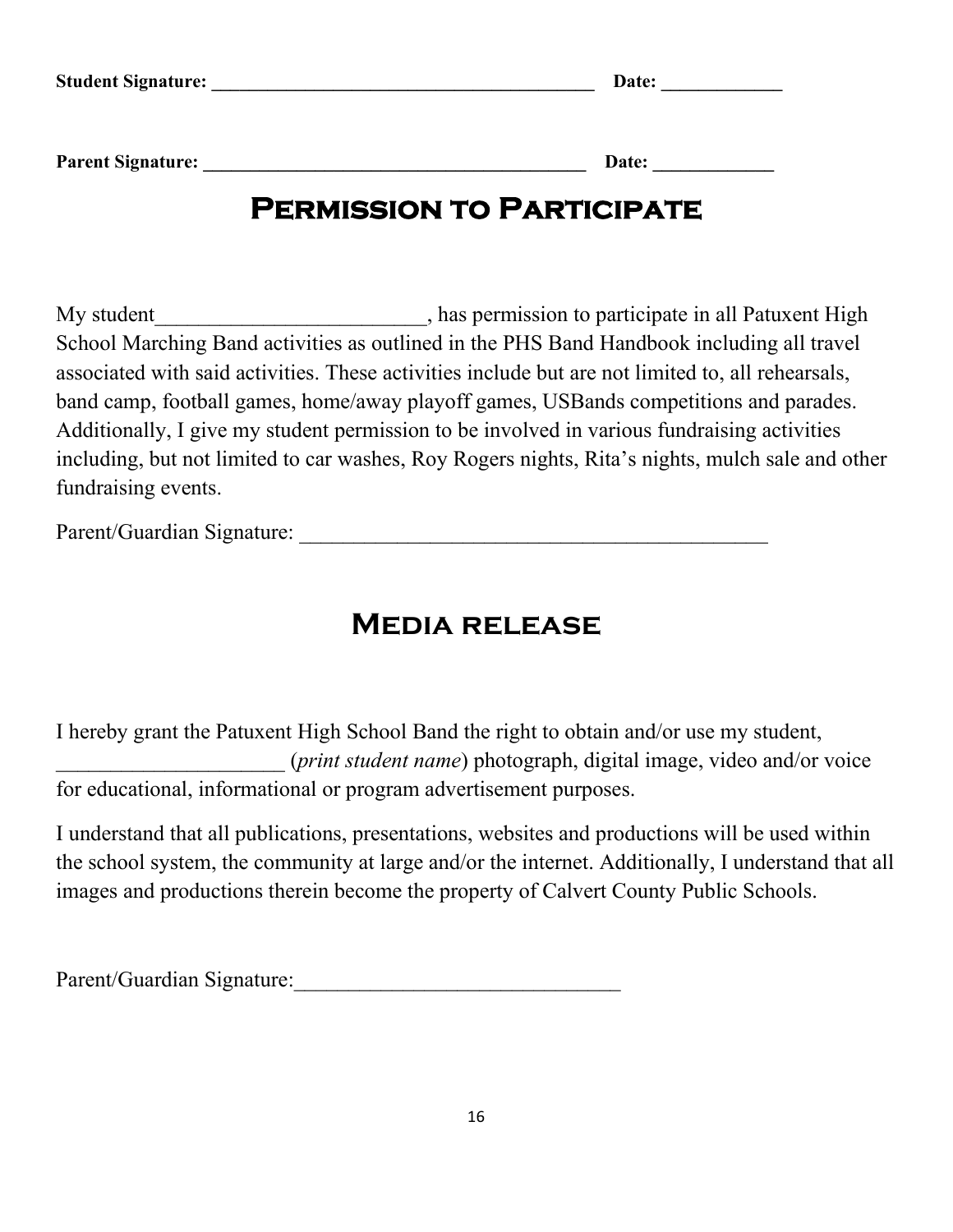| <b>Student Signature:</b> | Date: |
|---------------------------|-------|
|                           |       |
|                           |       |
|                           |       |

#### **Parent Signature:**

| Date: |
|-------|
|-------|

### **Permission to Participate**

My student\_\_\_\_\_\_\_\_\_\_\_\_\_\_\_\_\_\_\_\_\_\_\_\_\_\_, has permission to participate in all Patuxent High School Marching Band activities as outlined in the PHS Band Handbook including all travel associated with said activities. These activities include but are not limited to, all rehearsals, band camp, football games, home/away playoff games, USBands competitions and parades. Additionally, I give my student permission to be involved in various fundraising activities including, but not limited to car washes, Roy Rogers nights, Rita's nights, mulch sale and other fundraising events.

Parent/Guardian Signature:

### **Media release**

I hereby grant the Patuxent High School Band the right to obtain and/or use my student, \_\_\_\_\_\_\_\_\_\_\_\_\_\_\_\_\_\_\_\_\_ (*print student name*) photograph, digital image, video and/or voice for educational, informational or program advertisement purposes.

I understand that all publications, presentations, websites and productions will be used within the school system, the community at large and/or the internet. Additionally, I understand that all images and productions therein become the property of Calvert County Public Schools.

Parent/Guardian Signature: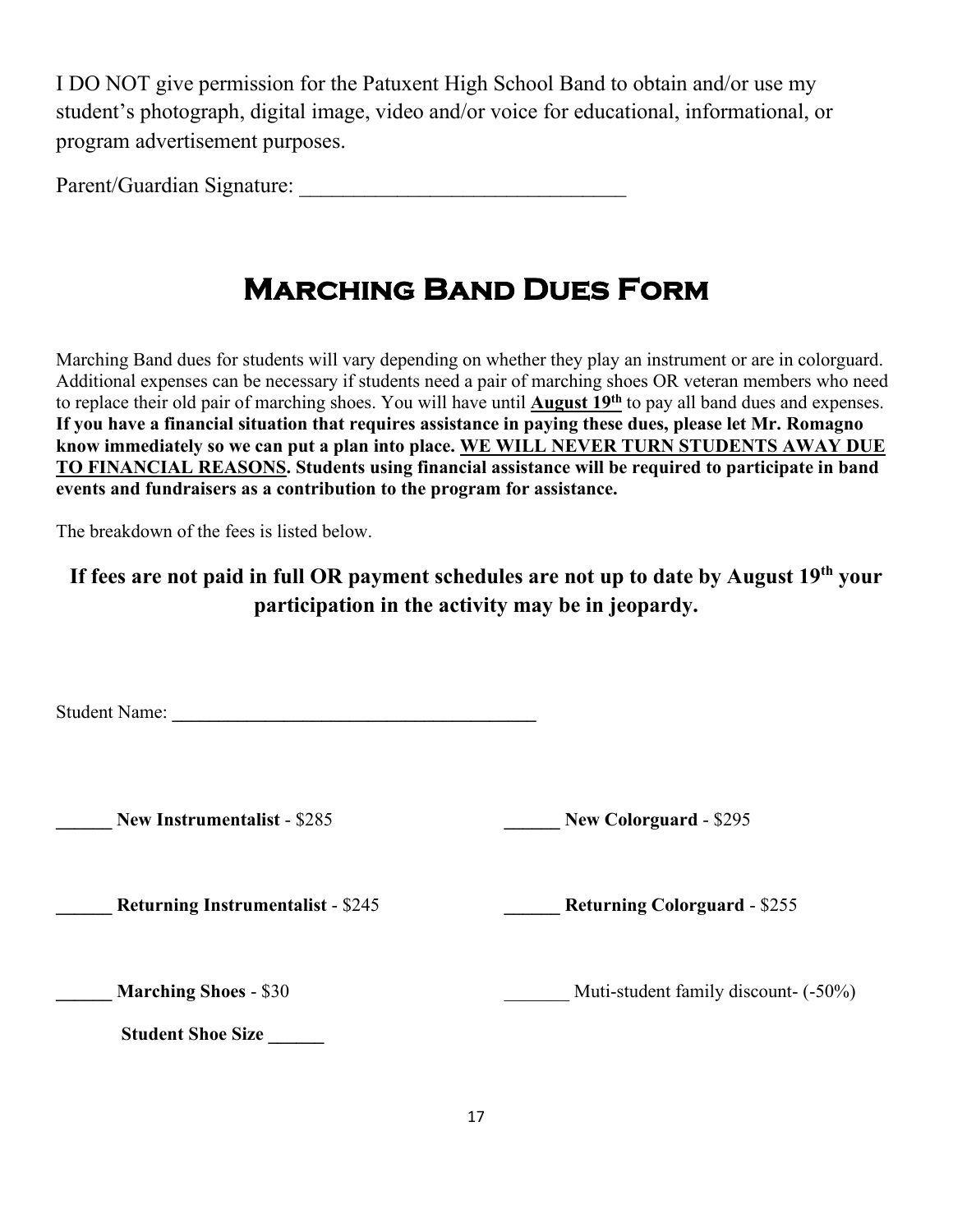I DO NOT give permission for the Patuxent High School Band to obtain and/or use my student's photograph, digital image, video and/or voice for educational, informational, or program advertisement purposes.

Parent/Guardian Signature:

### **Marching Band Dues Form**

Marching Band dues for students will vary depending on whether they play an instrument or are in colorguard. Additional expenses can be necessary if students need a pair of marching shoes OR veteran members who need to replace their old pair of marching shoes. You will have until **August 19th** to pay all band dues and expenses. **If you have a financial situation that requires assistance in paying these dues, please let Mr. Romagno know immediately so we can put a plan into place. WE WILL NEVER TURN STUDENTS AWAY DUE TO FINANCIAL REASONS. Students using financial assistance will be required to participate in band events and fundraisers as a contribution to the program for assistance.** 

The breakdown of the fees is listed below.

### **If fees are not paid in full OR payment schedules are not up to date by August 19th your participation in the activity may be in jeopardy.**

Student Name:

**\_\_\_\_\_\_ New Instrumentalist** - \$285 **\_\_\_\_\_\_ New Colorguard** - \$295

**\_\_\_\_\_\_ Returning Instrumentalist** - \$245 **\_\_\_\_\_\_ Returning Colorguard** - \$255

**\_\_\_\_\_\_ Marching Shoes** - \$30 \_\_\_\_\_\_\_ Muti-student family discount- (-50%)

 **Student Shoe Size \_\_\_\_\_\_**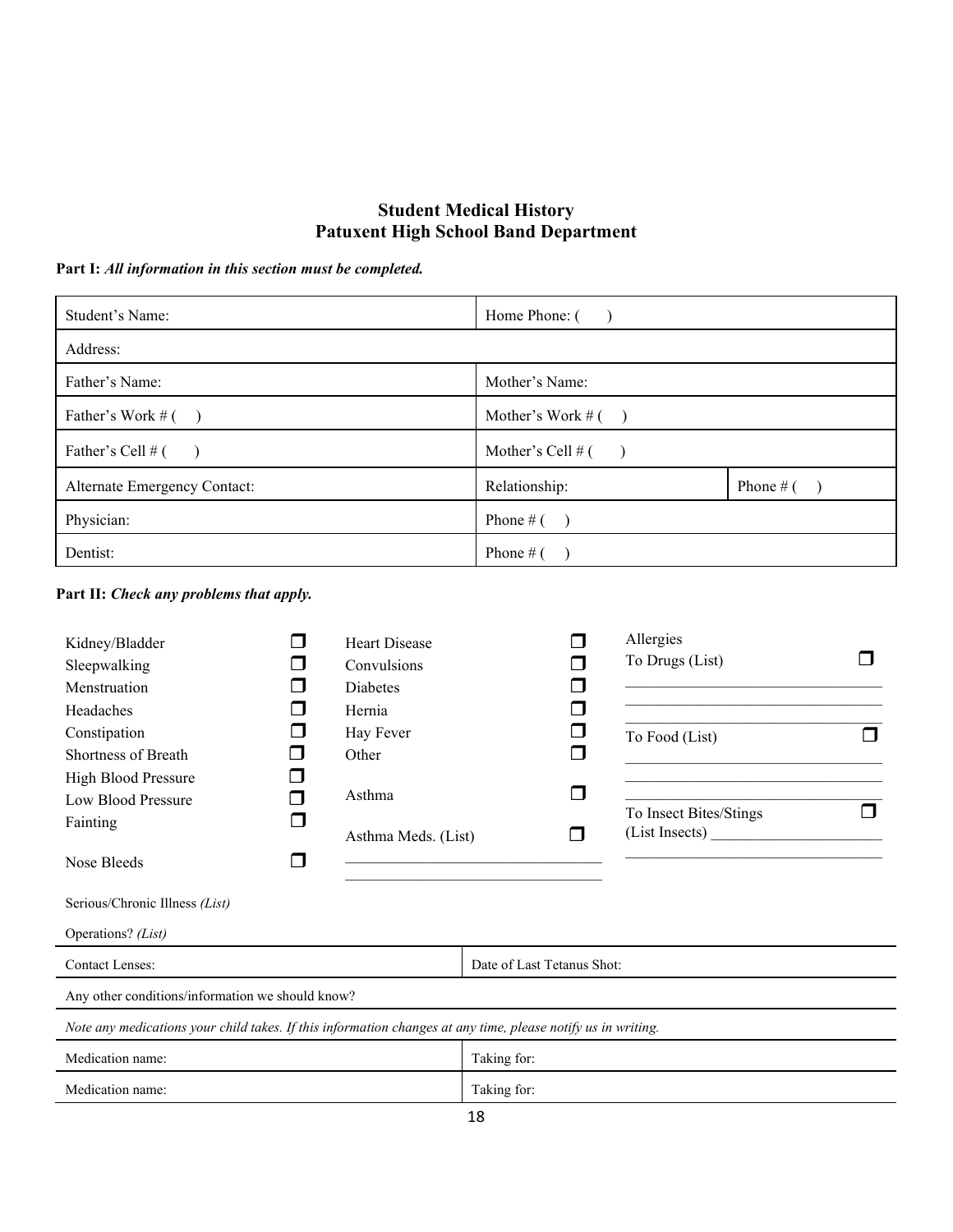#### **Student Medical History Patuxent High School Band Department**

**Part I:** *All information in this section must be completed.*

| Student's Name:              | Home Phone: (        |             |
|------------------------------|----------------------|-------------|
| Address:                     |                      |             |
| Father's Name:               | Mother's Name:       |             |
| Father's Work $#(-)$         | Mother's Work $#(-)$ |             |
| Father's Cell # (            | Mother's Cell $#$ (  |             |
| Alternate Emergency Contact: | Relationship:        | Phone # $($ |
| Physician:                   | Phone # $($          |             |
| Dentist:                     | Phone # $($          |             |

**Part II:** *Check any problems that apply.*

| Kidney/Bladder<br>Sleepwalking<br>Menstruation                                                               | <b>Heart Disease</b><br>Convulsions<br><b>Diabetes</b> |                            |             | Allergies<br>To Drugs (List)             |  |
|--------------------------------------------------------------------------------------------------------------|--------------------------------------------------------|----------------------------|-------------|------------------------------------------|--|
| Headaches<br>Constipation<br>Shortness of Breath<br>High Blood Pressure<br>Low Blood Pressure                | Hernia<br>Hay Fever<br>Other<br>Asthma                 |                            | ⊓<br>$\Box$ | To Food (List)                           |  |
| Fainting<br>Nose Bleeds<br>Serious/Chronic Illness (List)<br>Operations? (List)                              | Asthma Meds. (List)                                    |                            | П           | To Insect Bites/Stings<br>(List Insects) |  |
| Contact Lenses:                                                                                              |                                                        | Date of Last Tetanus Shot: |             |                                          |  |
| Any other conditions/information we should know?                                                             |                                                        |                            |             |                                          |  |
| Note any medications your child takes. If this information changes at any time, please notify us in writing. |                                                        |                            |             |                                          |  |
| Medication name:                                                                                             |                                                        | Taking for:                |             |                                          |  |
| Medication name:                                                                                             |                                                        | Taking for:<br><b>10</b>   |             |                                          |  |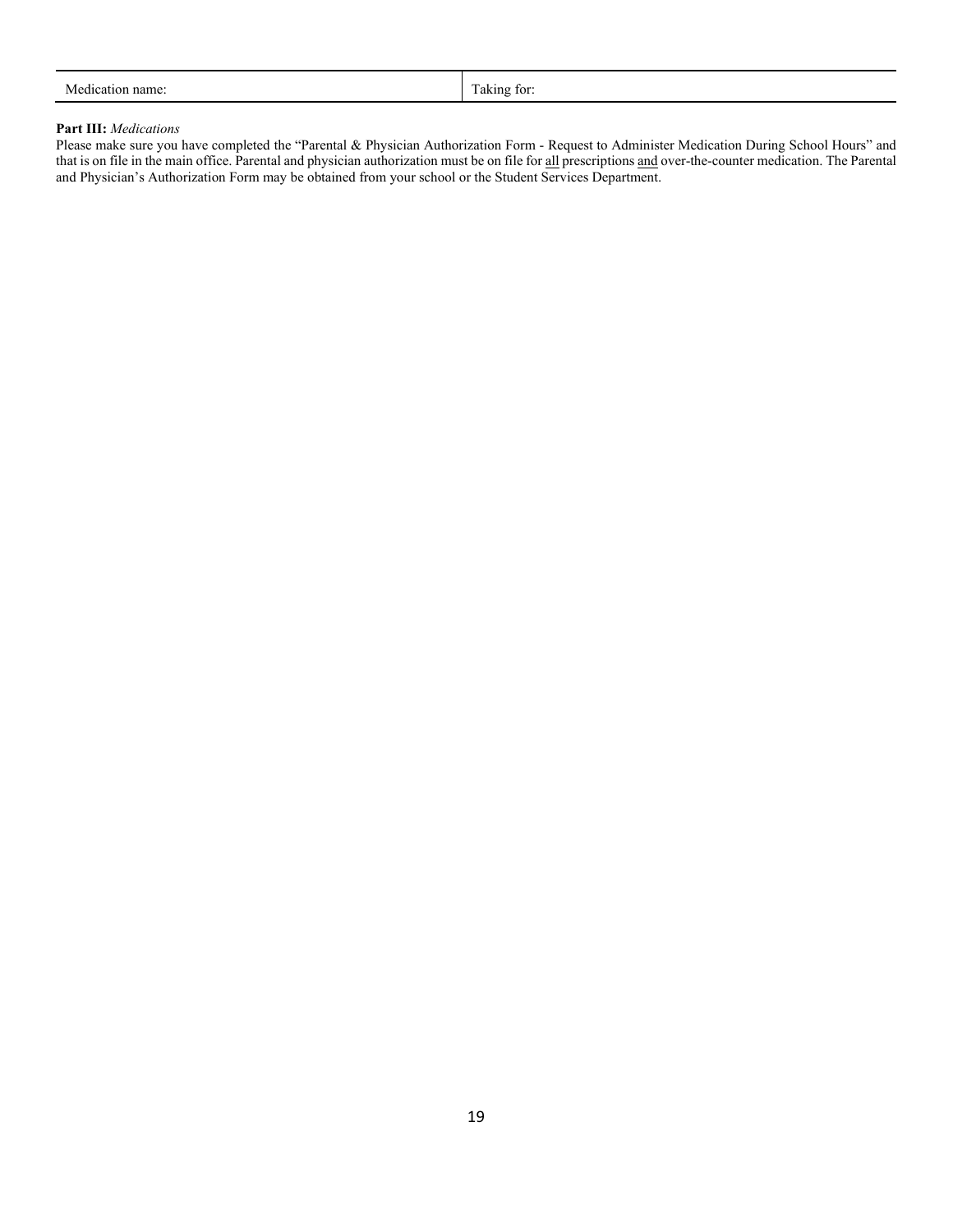#### **Part III:** *Medications*

Please make sure you have completed the "Parental & Physician Authorization Form - Request to Administer Medication During School Hours" and that is on file in the main office. Parental and physician authorization must be on file for all prescriptions and over-the-counter medication. The Parental and Physician's Authorization Form may be obtained from your school or the Student Services Department.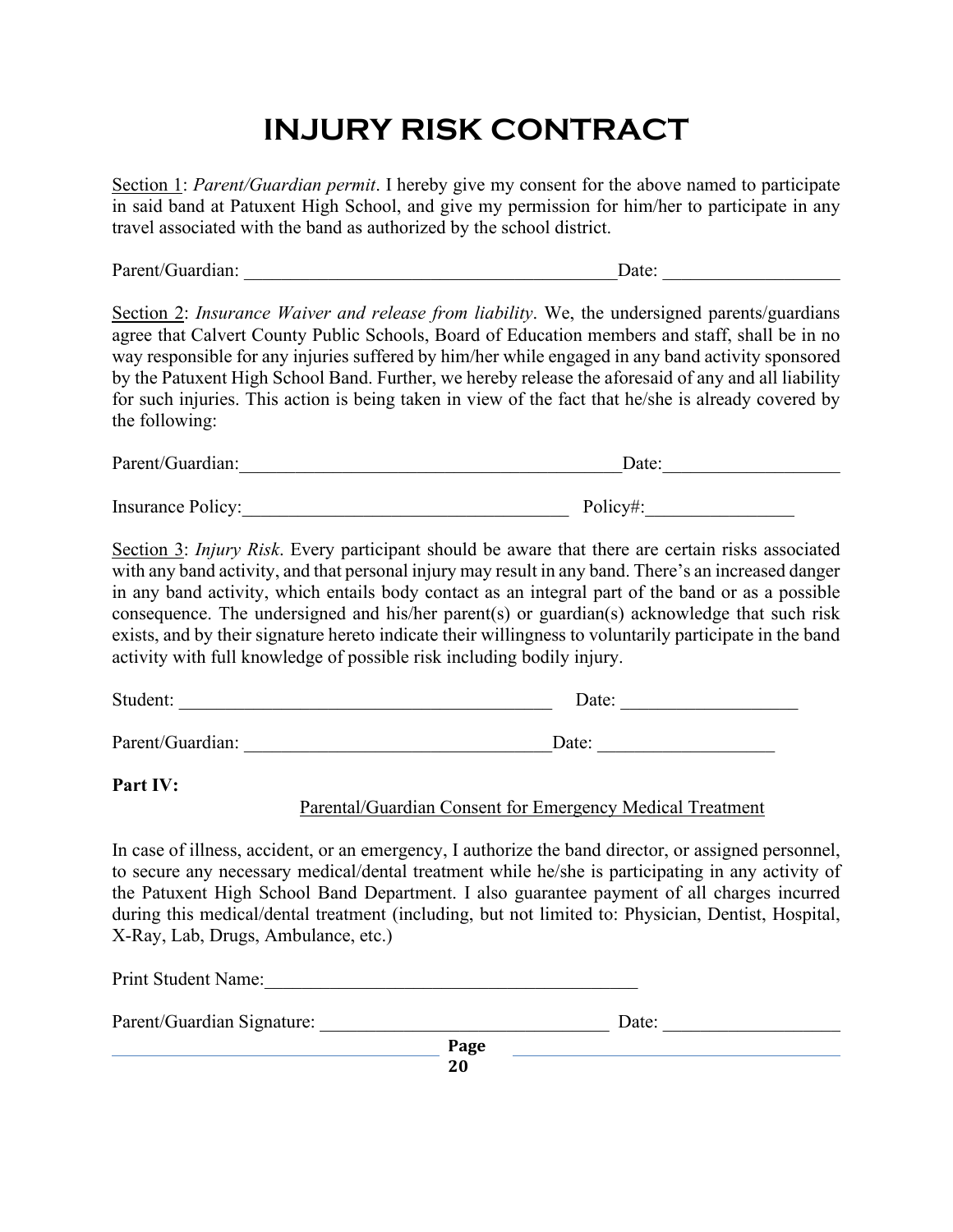# **INJURY RISK CONTRACT**

Section 1: *Parent/Guardian permit*. I hereby give my consent for the above named to participate in said band at Patuxent High School, and give my permission for him/her to participate in any travel associated with the band as authorized by the school district.

Parent/Guardian: \_\_\_\_\_\_\_\_\_\_\_\_\_\_\_\_\_\_\_\_\_\_\_\_\_\_\_\_\_\_\_\_\_\_\_\_\_\_\_\_Date: \_\_\_\_\_\_\_\_\_\_\_\_\_\_\_\_\_\_\_

Section 2: *Insurance Waiver and release from liability*. We, the undersigned parents/guardians agree that Calvert County Public Schools, Board of Education members and staff, shall be in no way responsible for any injuries suffered by him/her while engaged in any band activity sponsored by the Patuxent High School Band. Further, we hereby release the aforesaid of any and all liability for such injuries. This action is being taken in view of the fact that he/she is already covered by the following:

| Parent/Guardian:         | Date:    |
|--------------------------|----------|
|                          |          |
| <b>Insurance Policy:</b> | Policy#: |

Section 3: *Injury Risk*. Every participant should be aware that there are certain risks associated with any band activity, and that personal injury may result in any band. There's an increased danger in any band activity, which entails body contact as an integral part of the band or as a possible consequence. The undersigned and his/her parent(s) or guardian(s) acknowledge that such risk exists, and by their signature hereto indicate their willingness to voluntarily participate in the band activity with full knowledge of possible risk including bodily injury.

| Student:         | Date: |
|------------------|-------|
|                  |       |
| Parent/Guardian: | Date: |

#### **Part IV:**

#### Parental/Guardian Consent for Emergency Medical Treatment

In case of illness, accident, or an emergency, I authorize the band director, or assigned personnel, to secure any necessary medical/dental treatment while he/she is participating in any activity of the Patuxent High School Band Department. I also guarantee payment of all charges incurred during this medical/dental treatment (including, but not limited to: Physician, Dentist, Hospital, X-Ray, Lab, Drugs, Ambulance, etc.)

**Page 20** Print Student Name: Parent/Guardian Signature: \_\_\_\_\_\_\_\_\_\_\_\_\_\_\_\_\_\_\_\_\_\_\_\_\_\_\_\_\_\_\_ Date: \_\_\_\_\_\_\_\_\_\_\_\_\_\_\_\_\_\_\_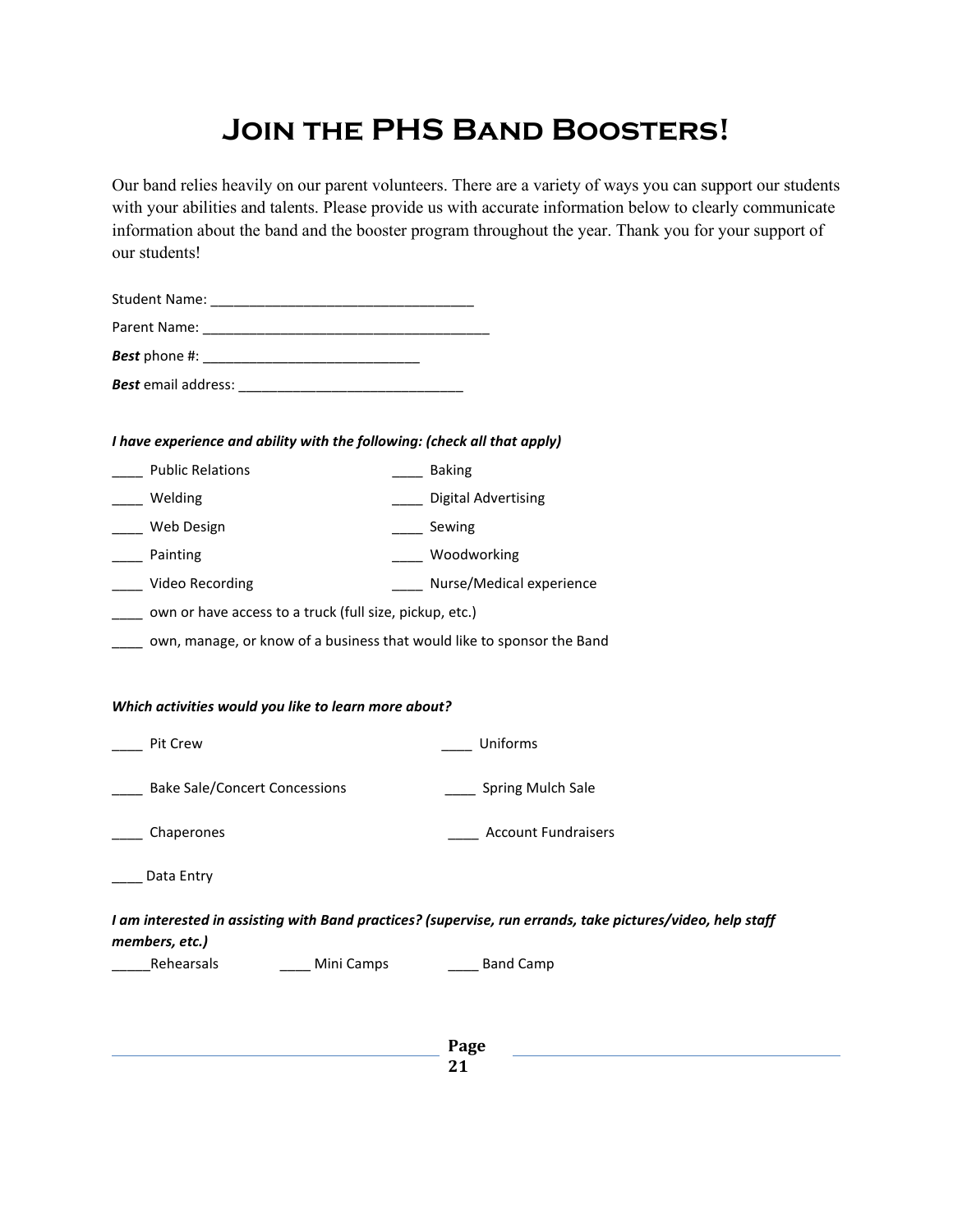# **Join the PHS Band Boosters!**

Our band relies heavily on our parent volunteers. There are a variety of ways you can support our students with your abilities and talents. Please provide us with accurate information below to clearly communicate information about the band and the booster program throughout the year. Thank you for your support of our students!

| I have experience and ability with the following: (check all that apply)                                                                                                                                     |                                                                                                            |
|--------------------------------------------------------------------------------------------------------------------------------------------------------------------------------------------------------------|------------------------------------------------------------------------------------------------------------|
| <b>Public Relations</b>                                                                                                                                                                                      | ____ Baking                                                                                                |
| Welding                                                                                                                                                                                                      | ____ Digital Advertising                                                                                   |
| Web Design                                                                                                                                                                                                   | ____ Sewing                                                                                                |
| Painting                                                                                                                                                                                                     | ____ Woodworking                                                                                           |
| Video Recording                                                                                                                                                                                              | ____ Nurse/Medical experience                                                                              |
|                                                                                                                                                                                                              |                                                                                                            |
|                                                                                                                                                                                                              |                                                                                                            |
|                                                                                                                                                                                                              |                                                                                                            |
| Pit Crew                                                                                                                                                                                                     | Uniforms                                                                                                   |
| <b>Bake Sale/Concert Concessions</b>                                                                                                                                                                         | _____ Spring Mulch Sale                                                                                    |
| ___ Chaperones                                                                                                                                                                                               | <b>Account Fundraisers</b>                                                                                 |
| ____ own or have access to a truck (full size, pickup, etc.)<br>own, manage, or know of a business that would like to sponsor the Band<br>Which activities would you like to learn more about?<br>Data Entry |                                                                                                            |
| members, etc.)                                                                                                                                                                                               | I am interested in assisting with Band practices? (supervise, run errands, take pictures/video, help staff |